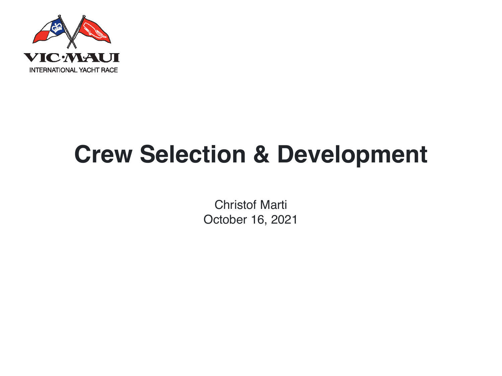

Christof Marti October 16, 2021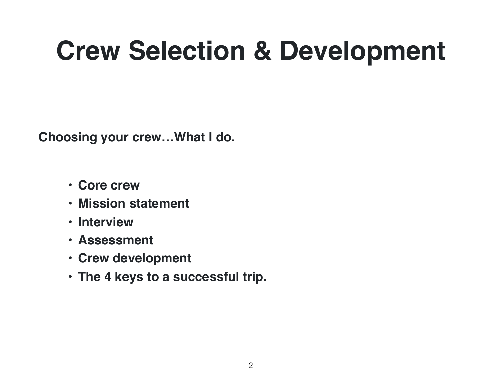**Choosing your crew…What I do.**

- **Core crew**
- **Mission statement**
- **Interview**
- **Assessment**
- **Crew development**
- **The 4 keys to a successful trip.**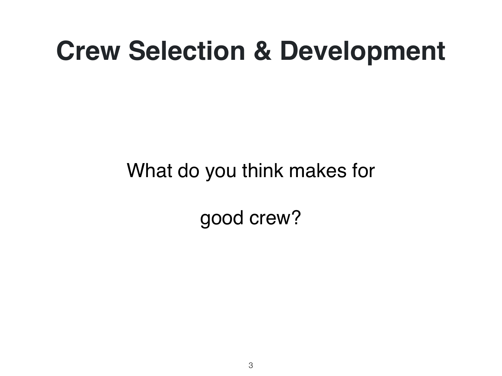### What do you think makes for

good crew?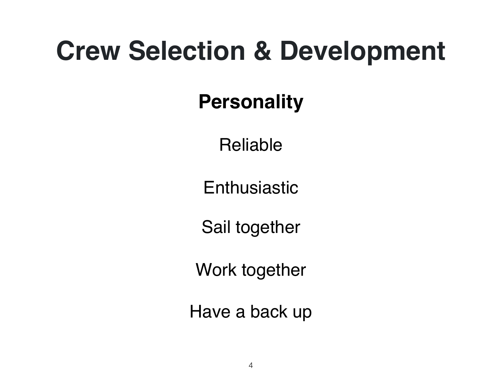### **Personality**

Reliable

**Enthusiastic** 

Sail together

Work together

Have a back up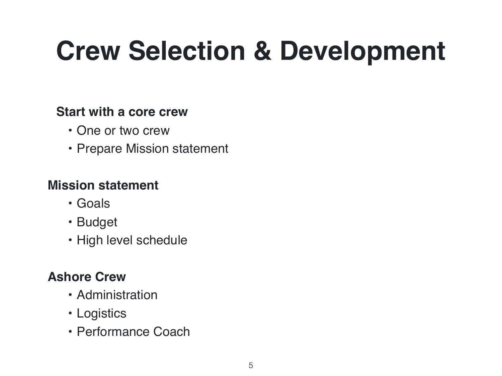#### **Start with a core crew**

- One or two crew
- Prepare Mission statement

#### **Mission statement**

- Goals
- Budget
- High level schedule

#### **Ashore Crew**

- Administration
- Logistics
- Performance Coach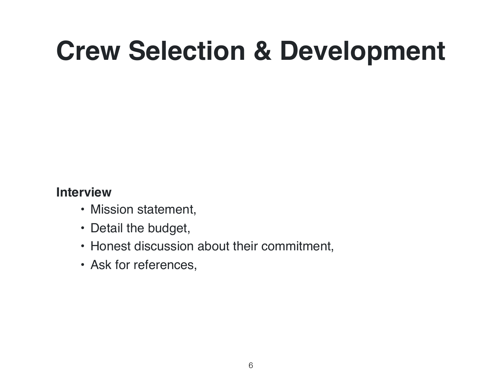#### **Interview**

- Mission statement,
- Detail the budget,
- Honest discussion about their commitment,
- Ask for references,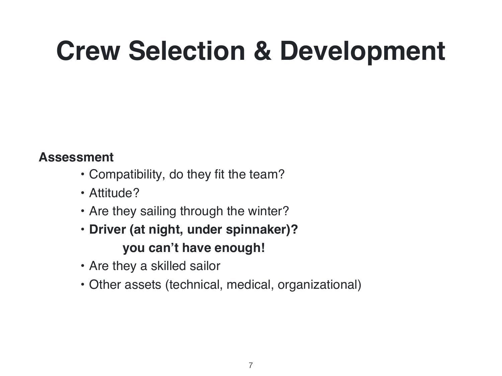#### **Assessment**

- Compatibility, do they fit the team?
- Attitude?
- Are they sailing through the winter?
- **Driver (at night, under spinnaker)? you can't have enough!**
- Are they a skilled sailor
- Other assets (technical, medical, organizational)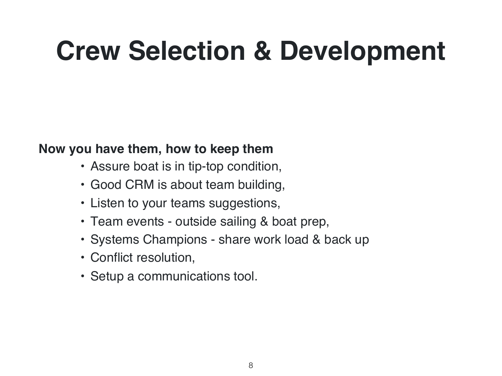#### **Now you have them, how to keep them**

- Assure boat is in tip-top condition,
- Good CRM is about team building,
- Listen to your teams suggestions,
- Team events outside sailing & boat prep,
- Systems Champions share work load & back up
- Conflict resolution,
- Setup a communications tool.